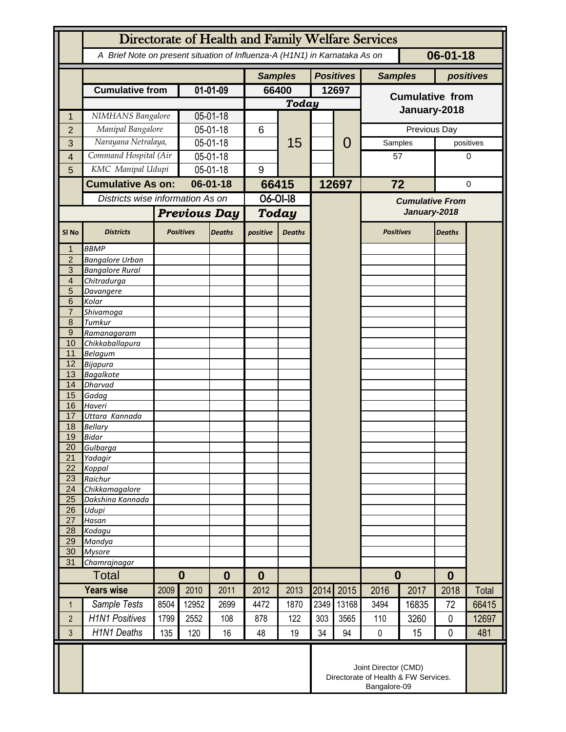|                     | Directorate of Health and Family Welfare Services                                            |                      |                  |                                                                              |                  |               |                  |                |                        |       |               |              |  |
|---------------------|----------------------------------------------------------------------------------------------|----------------------|------------------|------------------------------------------------------------------------------|------------------|---------------|------------------|----------------|------------------------|-------|---------------|--------------|--|
|                     | $06 - 01 - 18$<br>A Brief Note on present situation of Influenza-A (H1N1) in Karnataka As on |                      |                  |                                                                              |                  |               |                  |                |                        |       |               |              |  |
|                     |                                                                                              |                      |                  | <b>Samples</b>                                                               |                  |               | <b>Positives</b> | <b>Samples</b> |                        |       | positives     |              |  |
|                     | <b>Cumulative from</b>                                                                       |                      | 01-01-09         |                                                                              | 66400            |               | 12697            |                | <b>Cumulative from</b> |       |               |              |  |
|                     |                                                                                              |                      |                  |                                                                              |                  | <b>Today</b>  |                  |                | January-2018           |       |               |              |  |
| 1                   | NIMHANS Bangalore                                                                            |                      | 05-01-18         |                                                                              |                  | 15            |                  | 0              |                        |       |               |              |  |
| $\overline{2}$      | Manipal Bangalore                                                                            |                      | 05-01-18         |                                                                              | 6                |               |                  |                |                        |       | Previous Day  |              |  |
| 3                   | Narayana Netralaya,                                                                          |                      | 05-01-18         |                                                                              |                  |               |                  |                | Samples                |       |               | positives    |  |
| $\overline{4}$      | Command Hospital (Air                                                                        |                      | 05-01-18         |                                                                              |                  |               |                  |                | 57                     |       | 0             |              |  |
| 5                   | KMC Manipal Udupi                                                                            |                      | 05-01-18         |                                                                              | 9                |               |                  |                |                        |       |               |              |  |
|                     | <b>Cumulative As on:</b>                                                                     |                      | $06 - 01 - 18$   |                                                                              | 66415            |               | 12697            |                | 72                     |       | 0             |              |  |
|                     | Districts wise information As on                                                             |                      |                  |                                                                              | 06-01-18         |               |                  |                | <b>Cumulative From</b> |       |               |              |  |
|                     |                                                                                              | <b>Previous Day</b>  |                  | <b>Today</b>                                                                 |                  |               |                  | January-2018   |                        |       |               |              |  |
| SI <sub>No</sub>    | <b>Districts</b>                                                                             |                      | <b>Positives</b> | <b>Deaths</b>                                                                | positive         | <b>Deaths</b> |                  |                | <b>Positives</b>       |       | <b>Deaths</b> |              |  |
| $\mathbf 1$         | <b>BBMP</b>                                                                                  |                      |                  |                                                                              |                  |               |                  |                |                        |       |               |              |  |
| $\overline{2}$<br>3 | <b>Bangalore Urban</b><br><b>Bangalore Rural</b>                                             |                      |                  |                                                                              |                  |               |                  |                |                        |       |               |              |  |
| 4                   | Chitradurga                                                                                  |                      |                  |                                                                              |                  |               |                  |                |                        |       |               |              |  |
| 5<br>6              | Davangere                                                                                    |                      |                  |                                                                              |                  |               |                  |                |                        |       |               |              |  |
| $\overline{7}$      | Kolar<br>Shivamoga                                                                           |                      |                  |                                                                              |                  |               |                  |                |                        |       |               |              |  |
| 8                   | Tumkur                                                                                       |                      |                  |                                                                              |                  |               |                  |                |                        |       |               |              |  |
| $\overline{9}$      | Ramanagaram                                                                                  |                      |                  |                                                                              |                  |               |                  |                |                        |       |               |              |  |
| 10<br>11            | Chikkaballapura<br><b>Belagum</b>                                                            |                      |                  |                                                                              |                  |               |                  |                |                        |       |               |              |  |
| 12                  | Bijapura                                                                                     |                      |                  |                                                                              |                  |               |                  |                |                        |       |               |              |  |
| 13                  | <b>Bagalkote</b>                                                                             |                      |                  |                                                                              |                  |               |                  |                |                        |       |               |              |  |
| 14                  | <b>Dharvad</b>                                                                               |                      |                  |                                                                              |                  |               |                  |                |                        |       |               |              |  |
| 15<br>16            | Gadag<br>Haveri                                                                              |                      |                  |                                                                              |                  |               |                  |                |                        |       |               |              |  |
| 17                  | Uttara Kannada                                                                               |                      |                  |                                                                              |                  |               |                  |                |                        |       |               |              |  |
| 18                  | <b>Bellary</b>                                                                               |                      |                  |                                                                              |                  |               |                  |                |                        |       |               |              |  |
| 19                  | <b>Bidar</b>                                                                                 |                      |                  |                                                                              |                  |               |                  |                |                        |       |               |              |  |
| 20<br>21            | Gulbarga<br>Yadagir                                                                          |                      |                  |                                                                              |                  |               |                  |                |                        |       |               |              |  |
| 22                  | Koppal                                                                                       |                      |                  |                                                                              |                  |               |                  |                |                        |       |               |              |  |
| 23                  | Raichur                                                                                      |                      |                  |                                                                              |                  |               |                  |                |                        |       |               |              |  |
| 24<br>25            | Chikkamagalore<br>Dakshina Kannada                                                           |                      |                  |                                                                              |                  |               |                  |                |                        |       |               |              |  |
| $\overline{26}$     | Udupi                                                                                        |                      |                  |                                                                              |                  |               |                  |                |                        |       |               |              |  |
| 27                  | Hasan                                                                                        |                      |                  |                                                                              |                  |               |                  |                |                        |       |               |              |  |
| 28                  | Kodagu                                                                                       |                      |                  |                                                                              |                  |               |                  |                |                        |       |               |              |  |
| 29<br>30            | Mandya<br><b>Mysore</b>                                                                      |                      |                  |                                                                              |                  |               |                  |                |                        |       |               |              |  |
| 31                  | Chamrajnagar                                                                                 |                      |                  |                                                                              |                  |               |                  |                |                        |       |               |              |  |
| Total               |                                                                                              | $\bf{0}$<br>$\bf{0}$ |                  |                                                                              | $\boldsymbol{0}$ |               |                  |                | $\boldsymbol{0}$       |       | $\bf{0}$      |              |  |
| <b>Years wise</b>   |                                                                                              | 2009                 | 2010             | 2011                                                                         | 2012             | 2013          | 2014             | 2015           | 2016                   | 2017  | 2018          | <b>Total</b> |  |
| $\mathbf 1$         | Sample Tests                                                                                 | 8504                 | 12952            | 2699                                                                         | 4472             | 1870          | 2349             | 13168          | 3494                   | 16835 | 72            | 66415        |  |
| $\overline{2}$      | <b>H1N1 Positives</b>                                                                        | 1799                 | 2552             | 108                                                                          | 878              | 122           | 303              | 3565           | 110                    | 3260  | $\mathbf{0}$  | 12697        |  |
| 3                   | H1N1 Deaths                                                                                  | 135                  | 120              | 16                                                                           | 48               | 19            | 34               | 94             | $\mathbf 0$            | 15    | 0             | 481          |  |
|                     |                                                                                              |                      |                  | Joint Director (CMD)<br>Directorate of Health & FW Services.<br>Bangalore-09 |                  |               |                  |                |                        |       |               |              |  |